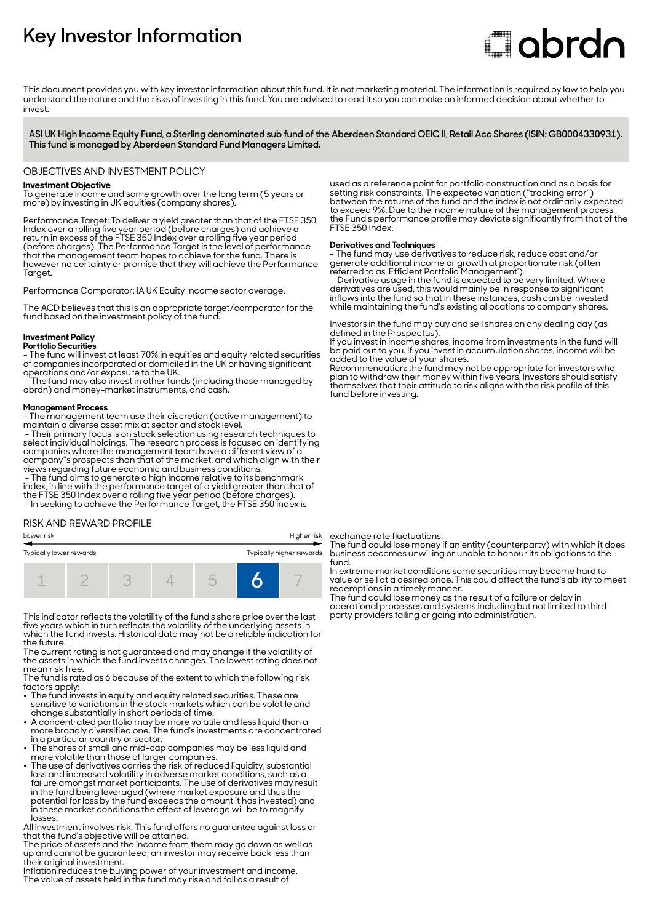# **Key Investor Information**

# **Clobrdn**

This document provides you with key investor information about this fund. It is not marketing material. The information is required by law to help you understand the nature and the risks of investing in this fund. You are advised to read it so you can make an informed decision about whether to invest

**ASI UK High Income Equity Fund, a Sterling denominated sub fund of the Aberdeen Standard OEIC II, Retail Acc Shares (ISIN: GB0004330931). This fund is managed by Aberdeen Standard Fund Managers Limited.**

# OBJECTIVES AND INVESTMENT POLICY

# **Investment Objective**

To generate income and some growth over the long term (5 years or more) by investing in UK equities (company shares).

Performance Target: To deliver a yield greater than that of the FTSE 350 Index over a rolling five year period (before charges) and achieve a return in excess of the FTSE 350 Index over a rolling five year period (before charges). The Performance Target is the level of performance that the management team hopes to achieve for the fund. There is however no certainty or promise that they will achieve the Performance Taraet.

Performance Comparator: IA UK Equity Income sector average.

The ACD believes that this is an appropriate target/comparator for the fund based on the investment policy of the fund.

# **Investment Policy**

#### **Portfolio Securities**

- The fund will invest at least 70% in equities and equity related securities of companies incorporated or domiciled in the UK or having significant operations and/or exposure to the UK.

 - The fund may also invest in other funds (including those managed by abrdn) and money-market instruments, and cash.

#### **Management Process**

- The management team use their discretion (active management) to maintain a diverse asset mix at sector and stock level.

 - Their primary focus is on stock selection using research techniques to select individual holdings. The research process is focused on identifying companies where the management team have a different view of a company''s prospects than that of the market, and which align with their views regarding future economic and business conditions. - The fund aims to generate a high income relative to its benchmark

index, in line with the performance target of a yield greater than that of the FTSE 350 Index over a rolling five year period (before charges). - In seeking to achieve the Performance Target, the FTSE 350 Index is

## RISK AND REWARD PROFILE

# Lower risk Higher risk

| Typically lower rewards |  | Typically higher rewards |  |  |  |
|-------------------------|--|--------------------------|--|--|--|
|                         |  |                          |  |  |  |

This indicator reflects the volatility of the fund's share price over the last five years which in turn reflects the volatility of the underlying assets in which the fund invests. Historical data may not be a reliable indication for the future.

The current rating is not guaranteed and may change if the volatility of the assets in which the fund invests changes. The lowest rating does not mean risk free.

The fund is rated as 6 because of the extent to which the following risk factors apply:

- . Increase apply.<br>• The fund invests in equity and equity related securities. These are sensitive to variations in the stock markets which can be volatile and change substantially in short periods of time.
- A concentrated portfolio may be more volatile and less liquid than a more broadly diversified one. The fund's investments are concentrated in a particular country or sector. 2 The shares of small and mid-cap companies may be less liquid and
- 
- more volatile than those of larger companies. 2 The use of derivatives carries the risk of reduced liquidity, substantial loss and increased volatility in adverse market conditions, such as a failure amongst market participants. The use of derivatives may result in the fund being leveraged (where market exposure and thus the potential for loss by the fund exceeds the amount it has invested) and in these market conditions the effect of leverage will be to magnify losses.

All investment involves risk. This fund offers no guarantee against loss or that the fund's objective will be attained.

The price of assets and the income from them may go down as well as up and cannot be guaranteed; an investor may receive back less than their original investment.

Inflation reduces the buying power of your investment and income. The value of assets held in the fund may rise and fall as a result of

used as a reference point for portfolio construction and as a basis for setting risk constraints. The expected variation (''tracking error'') between the returns of the fund and the index is not ordinarily expected to exceed 9%. Due to the income nature of the management process, the Fund's performance profile may deviate significantly from that of the FTSE 350 Index.

## **Derivatives and Techniques**

- The fund may use derivatives to reduce risk, reduce cost and/or generate additional income or growth at proportionate risk (often referred to as 'Efficient Portfolio Management').

 - Derivative usage in the fund is expected to be very limited. Where derivatives are used, this would mainly be in response to significant inflows into the fund so that in these instances, cash can be invested while maintaining the fund's existing allocations to company shares.

Investors in the fund may buy and sell shares on any dealing day (as defined in the Prospectus).

If you invest in income shares, income from investments in the fund will be paid out to you. If you invest in accumulation shares, income will be added to the value of your shares.

Recommendation: the fund may not be appropriate for investors who plan to withdraw their money within five years. Investors should satisfy themselves that their attitude to risk aligns with the risk profile of this fund before investing.

exchange rate fluctuations.

The fund could lose money if an entity (counterparty) with which it does business becomes unwilling or unable to honour its obligations to the fund.

In extreme market conditions some securities may become hard to value or sell at a desired price. This could affect the fund's ability to meet redemptions in a timely manner.

The fund could lose money as the result of a failure or delay in operational processes and systems including but not limited to third party providers failing or going into administration.